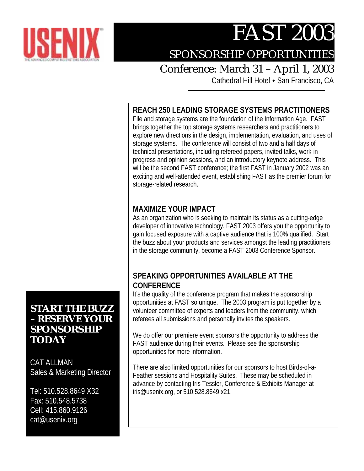

# FAST 2003

## SPONSORSHIP OPPORTUNITIES

### Conference: March 31 – April 1, 2003

Cathedral Hill Hotel . San Francisco, CA

### **REACH 250 LEADING STORAGE SYSTEMS PRACTITIONERS**

File and storage systems are the foundation of the Information Age. FAST brings together the top storage systems researchers and practitioners to explore new directions in the design, implementation, evaluation, and uses of storage systems. The conference will consist of two and a half days of technical presentations, including refereed papers, invited talks, work-inprogress and opinion sessions, and an introductory keynote address. This will be the second FAST conference; the first FAST in January 2002 was an exciting and well-attended event, establishing FAST as the premier forum for storage-related research.

#### **MAXIMIZE YOUR IMPACT**

As an organization who is seeking to maintain its status as a cutting-edge developer of innovative technology, FAST 2003 offers you the opportunity to gain focused exposure with a captive audience that is 100% qualified. Start the buzz about your products and services amongst the leading practitioners in the storage community, become a FAST 2003 Conference Sponsor.

### **SPEAKING OPPORTUNITIES AVAILABLE AT THE CONFERENCE**

It's the quality of the conference program that makes the sponsorship opportunities at FAST so unique. The 2003 program is put together by a volunteer committee of experts and leaders from the community, which referees all submissions and personally invites the speakers.

We do offer our premiere event sponsors the opportunity to address the FAST audience during their events. Please see the sponsorship opportunities for more information.

There are also limited opportunities for our sponsors to host Birds-of-a-Feather sessions and Hospitality Suites. These may be scheduled in advance by contacting Iris Tessler, Conference & Exhibits Manager at iris@usenix.org, or 510.528.8649 x21.

### **START THE BUZZ – RESERVE YOUR SPONSORSHIP TODAY**

CAT ALLMAN Sales & Marketing Director

Tel: 510.528.8649 X32 Fax: 510.548.5738 Cell: 415.860.9126 cat@usenix.org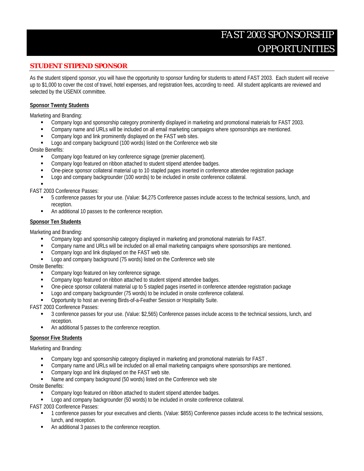### FAST 2003 SPONSORSHIP OPPORTUNITIES

#### **STUDENT STIPEND SPONSOR**

As the student stipend sponsor, you will have the opportunity to sponsor funding for students to attend FAST 2003. Each student will receive up to \$1,000 to cover the cost of travel, hotel expenses, and registration fees, according to need. All student applicants are reviewed and selected by the USENIX committee.

#### **Sponsor Twenty Students**

Marketing and Branding:

- " Company logo and sponsorship category prominently displayed in marketing and promotional materials for FAST 2003.
- **•** Company name and URLs will be included on all email marketing campaigns where sponsorships are mentioned.
- **EXECOMPANY LOGO and link prominently displayed on the FAST web sites.**
- Logo and company background (100 words) listed on the Conference web site

Onsite Benefits:

- **EXECOMPANY LOGO featured on key conference signage (premier placement).**
- Company logo featured on ribbon attached to student stipend attendee badges.
- " One-piece sponsor collateral material up to 10 stapled pages inserted in conference attendee registration package
- **Logo and company backgrounder (100 words) to be included in onsite conference collateral.**
- "

FAST 2003 Conference Passes:

- " 5 conference passes for your use. (Value: \$4,275 Conference passes include access to the technical sessions, lunch, and reception.
- " An additional 10 passes to the conference reception.

#### **Sponsor Ten Students**

Marketing and Branding:

- Company logo and sponsorship category displayed in marketing and promotional materials for FAST.
- " Company name and URLs will be included on all email marketing campaigns where sponsorships are mentioned.
- **EXECOMPANY LOGO and link displayed on the FAST web site.**
- Logo and company background (75 words) listed on the Conference web site

#### Onsite Benefits:

- **EXECOMPANY LOGO featured on key conference signage.**
- Company logo featured on ribbon attached to student stipend attendee badges.
- " One-piece sponsor collateral material up to 5 stapled pages inserted in conference attendee registration package
- " Logo and company backgrounder (75 words) to be included in onsite conference collateral.
- Opportunity to host an evening Birds-of-a-Feather Session or Hospitality Suite.

FAST 2003 Conference Passes:

- " 3 conference passes for your use. (Value: \$2,565) Conference passes include access to the technical sessions, lunch, and reception.
- " An additional 5 passes to the conference reception.

#### **Sponsor Five Students**

Marketing and Branding:

- Company logo and sponsorship category displayed in marketing and promotional materials for FAST.
- " Company name and URLs will be included on all email marketing campaigns where sponsorships are mentioned.
- Company logo and link displayed on the FAST web site.
- Name and company background (50 words) listed on the Conference web site

Onsite Benefits:

- Company logo featured on ribbon attached to student stipend attendee badges.
- Logo and company backgrounder (50 words) to be included in onsite conference collateral.

FAST 2003 Conference Passes:

- " 1 conference passes for your executives and clients. (Value: \$855) Conference passes include access to the technical sessions, lunch, and reception.
- An additional 3 passes to the conference reception.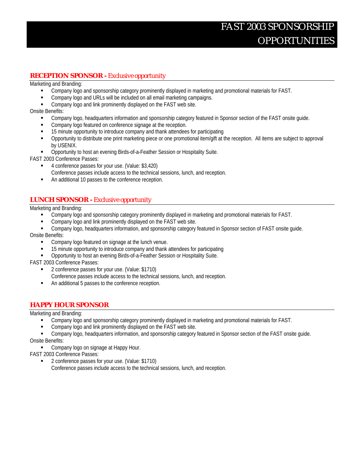#### **RECEPTION SPONSOR -** *Exclusive opportunity*

Marketing and Branding:

- " Company logo and sponsorship category prominently displayed in marketing and promotional materials for FAST.
- Company logo and URLs will be included on all email marketing campaigns.
- **EXECOMPANY LOGO and link prominently displayed on the FAST web site.**

Onsite Benefits:

- Company logo, headquarters information and sponsorship category featured in Sponsor section of the FAST onsite quide.
- Company logo featured on conference signage at the reception.
- " 15 minute opportunity to introduce company and thank attendees for participating
- " Opportunity to distribute one print marketing piece or one promotional item/gift at the reception. All items are subject to approval by USENIX.
- " Opportunity to host an evening Birds-of-a-Feather Session or Hospitality Suite.

FAST 2003 Conference Passes:

- " 4 conference passes for your use. (Value: \$3,420)
	- Conference passes include access to the technical sessions, lunch, and reception.
- " An additional 10 passes to the conference reception.

#### **LUNCH SPONSOR -** *Exclusive opportunity*

Marketing and Branding:

- " Company logo and sponsorship category prominently displayed in marketing and promotional materials for FAST.
- **EXECOMPANY LOGO and link prominently displayed on the FAST web site.**
- " Company logo, headquarters information, and sponsorship category featured in Sponsor section of FAST onsite guide.

Onsite Benefits:

- Company logo featured on signage at the lunch venue.
- **15 minute opportunity to introduce company and thank attendees for participating**<br>Connectunity to bost an evening Birds-of-a-Feather Session or Hospitality Suite
- " Opportunity to host an evening Birds-of-a-Feather Session or Hospitality Suite.

FAST 2003 Conference Passes:

- 2 conference passes for your use. (Value: \$1710)
	- Conference passes include access to the technical sessions, lunch, and reception.
- An additional 5 passes to the conference reception.

#### **HAPPY HOUR SPONSOR**

Marketing and Branding:

- " Company logo and sponsorship category prominently displayed in marketing and promotional materials for FAST.
- " Company logo and link prominently displayed on the FAST web site.
- **•** Company logo, headquarters information, and sponsorship category featured in Sponsor section of the FAST onsite guide.

Onsite Benefits:

- **Company logo on signage at Happy Hour.**
- FAST 2003 Conference Passes:
	- 2 conference passes for your use. (Value: \$1710) Conference passes include access to the technical sessions, lunch, and reception.